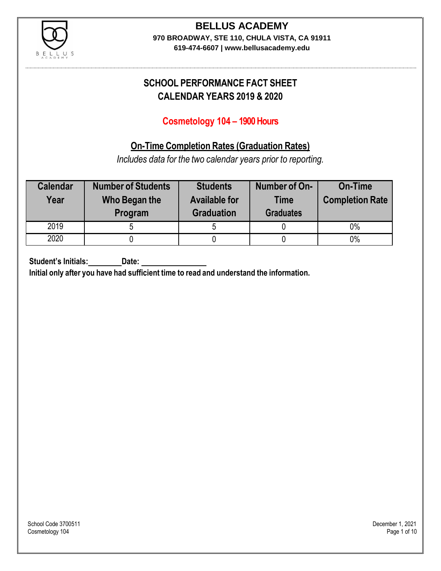

### **BELLUS ACADEMY 970 BROADWAY, STE 110, CHULA VISTA, CA 91911**

**619-474-6607 | www.bellusacademy.edu**

# **SCHOOL PERFORMANCE FACT SHEET CALENDAR YEARS 2019 & 2020**

# **Cosmetology 104 – 1900 Hours**

# **On-Time Completion Rates (Graduation Rates)**

*Includes data for the two calendar years prior to reporting.*

| <b>Calendar</b><br>Year | <b>Number of Students</b><br>Who Began the<br>Program | <b>Students</b><br><b>Available for</b><br><b>Graduation</b> | Number of On-<br><b>Time</b><br><b>Graduates</b> | <b>On-Time</b><br><b>Completion Rate</b> |
|-------------------------|-------------------------------------------------------|--------------------------------------------------------------|--------------------------------------------------|------------------------------------------|
| 2019                    |                                                       |                                                              |                                                  | 0%                                       |
| 2020                    |                                                       |                                                              |                                                  | $0\%$                                    |

**Student's Initials: Date:**

**Initial only after you have had sufficient time to read and understand the information.**

School Code 3700511 December 1, 2021<br>Cosmetology 104 Page 1 of 10 Cosmetology 104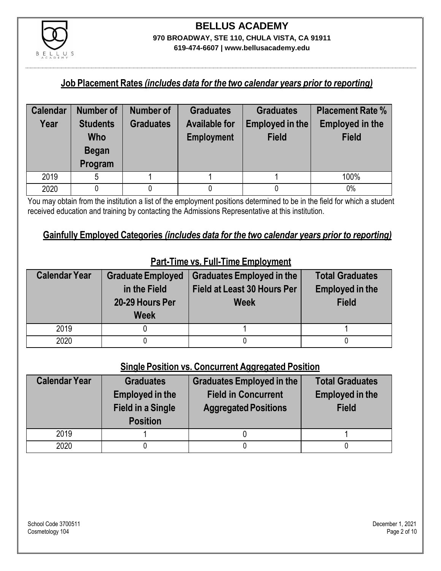

#### **Job Placement Rates** *(includes data for the two calendar years prior to reporting)*

| <b>Calendar</b> | <b>Number of</b>                                  | <b>Number of</b> | <b>Graduates</b>                          | <b>Graduates</b>                | <b>Placement Rate %</b>                |
|-----------------|---------------------------------------------------|------------------|-------------------------------------------|---------------------------------|----------------------------------------|
| Year            | <b>Students</b><br>Who<br><b>Began</b><br>Program | <b>Graduates</b> | <b>Available for</b><br><b>Employment</b> | Employed in the<br><b>Field</b> | <b>Employed in the</b><br><b>Field</b> |
| 2019            | 5                                                 |                  |                                           |                                 | 100%                                   |
| 2020            |                                                   |                  |                                           |                                 | 0%                                     |

You may obtain from the institution a list of the employment positions determined to be in the field for which a student received education and training by contacting the Admissions Representative at this institution.

#### **Gainfully Employed Categories** *(includes data for the two calendar years prior to reporting)*

| <b>Calendar Year</b> | <b>Graduate Employed</b><br>in the Field<br>20-29 Hours Per<br><b>Week</b> | <b>Graduates Employed in the</b><br>Field at Least 30 Hours Per<br><b>Week</b> | <b>Total Graduates</b><br><b>Employed in the</b><br><b>Field</b> |
|----------------------|----------------------------------------------------------------------------|--------------------------------------------------------------------------------|------------------------------------------------------------------|
| 2019                 |                                                                            |                                                                                |                                                                  |
| 2020                 |                                                                            |                                                                                |                                                                  |

# **Part-Time vs. Full-Time Employment**

### **Single Position vs. Concurrent Aggregated Position**

| <b>Calendar Year</b> | <b>Graduates</b><br><b>Employed in the</b><br><b>Field in a Single</b><br><b>Position</b> | <b>Graduates Employed in the</b><br><b>Field in Concurrent</b><br><b>Aggregated Positions</b> | <b>Total Graduates</b><br><b>Employed in the</b><br><b>Field</b> |
|----------------------|-------------------------------------------------------------------------------------------|-----------------------------------------------------------------------------------------------|------------------------------------------------------------------|
| 2019                 |                                                                                           |                                                                                               |                                                                  |
| 2020                 |                                                                                           |                                                                                               |                                                                  |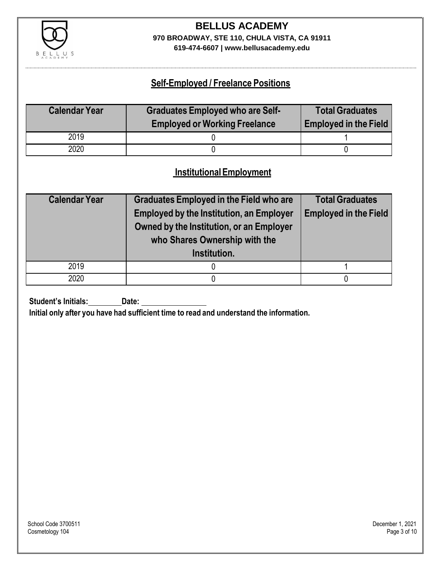

# **BELLUS ACADEMY 970 BROADWAY, STE 110, CHULA VISTA, CA 91911**

**619-474-6607 | www.bellusacademy.edu**

### **Self-Employed / Freelance Positions**

| <b>Calendar Year</b> | <b>Graduates Employed who are Self-</b> | <b>Total Graduates</b>       |
|----------------------|-----------------------------------------|------------------------------|
|                      | <b>Employed or Working Freelance</b>    | <b>Employed in the Field</b> |
| 2019                 |                                         |                              |
| 2020                 |                                         |                              |

### **InstitutionalEmployment**

| <b>Calendar Year</b> | <b>Graduates Employed in the Field who are</b><br><b>Employed by the Institution, an Employer</b><br>Owned by the Institution, or an Employer<br>who Shares Ownership with the<br>Institution. | <b>Total Graduates</b><br><b>Employed in the Field</b> |
|----------------------|------------------------------------------------------------------------------------------------------------------------------------------------------------------------------------------------|--------------------------------------------------------|
| 2019                 |                                                                                                                                                                                                |                                                        |
| 2020                 |                                                                                                                                                                                                |                                                        |

**Student's Initials:** Date:

**Initial only after you have had sufficient time to read and understand the information.**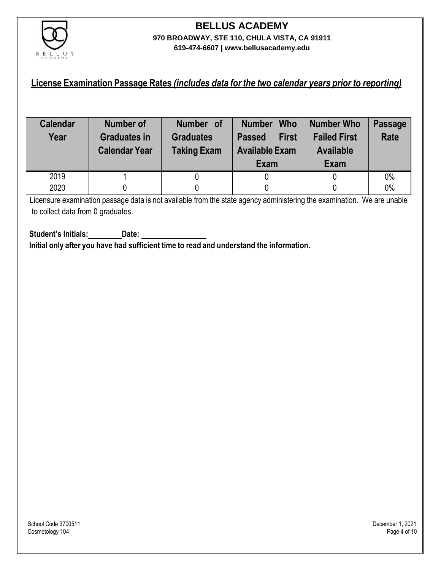

### **License Examination Passage Rates** *(includes data for the two calendar years prior to reporting)*

| <b>Calendar</b><br>Year | Number of<br><b>Graduates in</b><br><b>Calendar Year</b> | Number of<br><b>Graduates</b><br><b>Taking Exam</b> | <b>Who</b><br><b>Number</b><br><b>First</b><br><b>Passed</b><br><b>Available Exam</b><br>Exam | Number Who<br><b>Failed First</b><br><b>Available</b><br>Exam | <b>Passage</b><br><b>Rate</b> |
|-------------------------|----------------------------------------------------------|-----------------------------------------------------|-----------------------------------------------------------------------------------------------|---------------------------------------------------------------|-------------------------------|
| 2019                    |                                                          |                                                     |                                                                                               |                                                               | 0%                            |
| 2020                    |                                                          |                                                     |                                                                                               |                                                               | 0%                            |

Licensure examination passage data is not available from the state agency administering the examination. We are unable to collect data from 0 graduates.

**Student's Initials: Date: Initial only after you have had sufficient time to read and understand the information.**

School Code 3700511 December 1, 2021<br>Cosmetology 104 Page 4 of 10 Cosmetology 104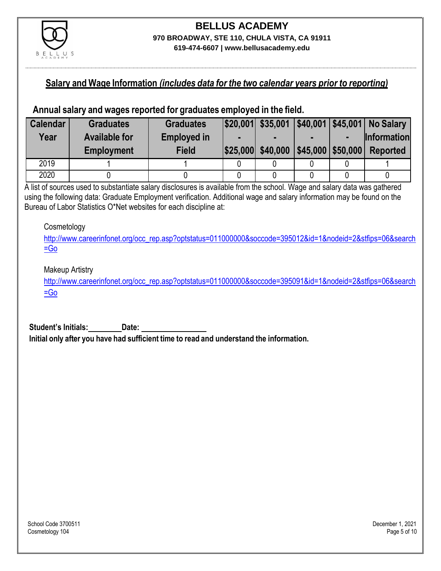

#### **Salary and Wage Information** *(includes data for the two calendar years prior to reporting)*

#### **Annual salary and wages reported for graduates employed in the field.**

| <b>Calendar</b> | <b>Graduates</b>     | <b>Graduates</b>   |                                     |  | $ $20,001 $ \$35,001 $ $40,001 $45,001 $ No Salary |
|-----------------|----------------------|--------------------|-------------------------------------|--|----------------------------------------------------|
| Year            | <b>Available for</b> | <b>Employed in</b> |                                     |  | <b>Information</b>                                 |
|                 | <b>Employment</b>    | <b>Field</b>       | \$25,000 \$40,000 \$45,000 \$50,000 |  | <b>Reported</b>                                    |
| 2019            |                      |                    |                                     |  |                                                    |
| 2020            |                      |                    |                                     |  |                                                    |

A list of sources used to substantiate salary disclosures is available from the school. Wage and salary data was gathered using the following data: Graduate Employment verification. Additional wage and salary information may be found on the Bureau of Labor Statistics O\*Net websites for each discipline at:

#### **Cosmetology**

[http://www.careerinfonet.org/occ\\_rep.asp?optstatus=011000000&soccode=395012&id=1&nodeid=2&stfips=06&search](http://www.careerinfonet.org/occ_rep.asp?optstatus=011000000&soccode=395012&id=1&nodeid=2&stfips=06&search=Go) [=Go](http://www.careerinfonet.org/occ_rep.asp?optstatus=011000000&soccode=395012&id=1&nodeid=2&stfips=06&search=Go)

#### Makeup Artistry

[http://www.careerinfonet.org/occ\\_rep.asp?optstatus=011000000&soccode=395091&id=1&nodeid=2&stfips=06&search](http://www.careerinfonet.org/occ_rep.asp?optstatus=011000000&soccode=395091&id=1&nodeid=2&stfips=06&search=Go)  $=$ Go

**Student's Initials: Date: Initial only after you have had sufficient time to read and understand the information.**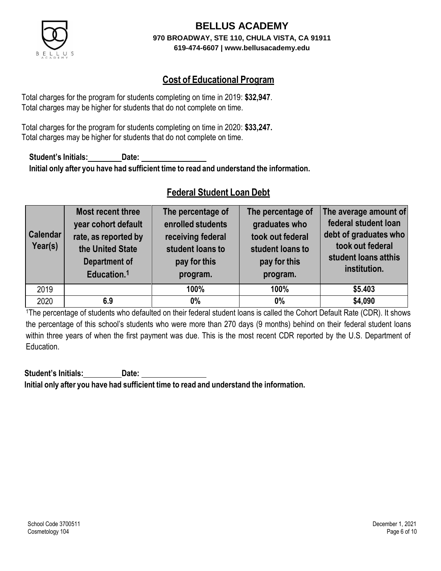

# **Cost of Educational Program**

Total charges for the program for students completing on time in 2019: **\$32,947**. Total charges may be higher for students that do not complete on time.

Total charges for the program for students completing on time in 2020: **\$33,247.** Total charges may be higher for students that do not complete on time.

**Student's Initials: Date: Initial only after you have had sufficient time to read and understand the information.**

## **Federal Student Loan Debt**

| <b>Calendar</b><br>Year(s) | Most recent three<br>year cohort default<br>rate, as reported by<br>the United State<br><b>Department of</b><br>Education. <sup>1</sup> | The percentage of<br>enrolled students<br>receiving federal<br>student loans to<br>pay for this<br>program. | The percentage of<br>graduates who<br>took out federal<br>student loans to<br>pay for this<br>program. | The average amount of<br>federal student loan<br>debt of graduates who<br>took out federal<br>student loans atthis<br>institution. |
|----------------------------|-----------------------------------------------------------------------------------------------------------------------------------------|-------------------------------------------------------------------------------------------------------------|--------------------------------------------------------------------------------------------------------|------------------------------------------------------------------------------------------------------------------------------------|
| 2019                       |                                                                                                                                         | 100%                                                                                                        | 100%                                                                                                   | \$5.403                                                                                                                            |
| 2020                       | 6.9                                                                                                                                     | $0\%$                                                                                                       | $0\%$                                                                                                  | \$4,090                                                                                                                            |

<sup>1</sup>The percentage of students who defaulted on their federal student loans is called the Cohort Default Rate (CDR). It shows the percentage of this school's students who were more than 270 days (9 months) behind on their federal student loans within three years of when the first payment was due. This is the most recent CDR reported by the U.S. Department of Education.

**Student's Initials: Date: Initial only after you have had sufficient time to read and understand the information.**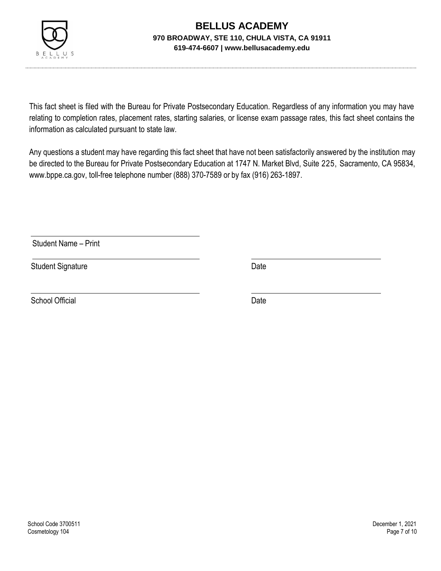

This fact sheet is filed with the Bureau for Private Postsecondary Education. Regardless of any information you may have relating to completion rates, placement rates, starting salaries, or license exam passage rates, this fact sheet contains the information as calculated pursuant to state law.

Any questions a student may have regarding this fact sheet that have not been satisfactorily answered by the institution may be directed to the Bureau for Private Postsecondary Education at 1747 N. Market Blvd, Suite 225, Sacramento, CA 95834, [www.bppe.ca.gov,](http://www.bppe.ca.gov/) toll-free telephone number (888) 370-7589 or by fax (916) 263-1897.

Student Name – Print

Student Signature Date Date

School Official Date Date Date Date Date Date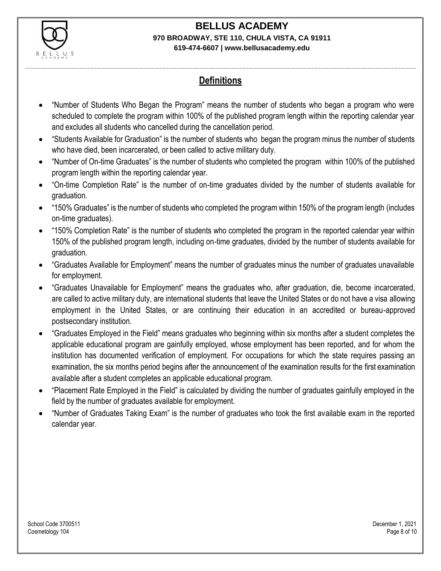

# **Definitions**

- "Number of Students Who Began the Program" means the number of students who began a program who were scheduled to complete the program within 100% of the published program length within the reporting calendar year and excludes all students who cancelled during the cancellation period.
- "Students Available for Graduation" is the number of students who began the program minus the number of students who have died, been incarcerated, or been called to active military duty.
- "Number of On-time Graduates" is the number of students who completed the program within 100% of the published program length within the reporting calendar year.
- "On-time Completion Rate" is the number of on-time graduates divided by the number of students available for graduation.
- "150% Graduates" is the number of students who completed the program within 150% of the program length (includes on-time graduates).
- "150% Completion Rate" is the number of students who completed the program in the reported calendar year within 150% of the published program length, including on-time graduates, divided by the number of students available for graduation.
- "Graduates Available for Employment" means the number of graduates minus the number of graduates unavailable for employment.
- "Graduates Unavailable for Employment" means the graduates who, after graduation, die, become incarcerated, are called to active military duty, are international students that leave the United States or do not have a visa allowing employment in the United States, or are continuing their education in an accredited or bureau-approved postsecondary institution.
- "Graduates Employed in the Field" means graduates who beginning within six months after a student completes the applicable educational program are gainfully employed, whose employment has been reported, and for whom the institution has documented verification of employment. For occupations for which the state requires passing an examination, the six months period begins after the announcement of the examination results for the first examination available after a student completes an applicable educational program.
- "Placement Rate Employed in the Field" is calculated by dividing the number of graduates gainfully employed in the field by the number of graduates available for employment.
- "Number of Graduates Taking Exam" is the number of graduates who took the first available exam in the reported calendar year.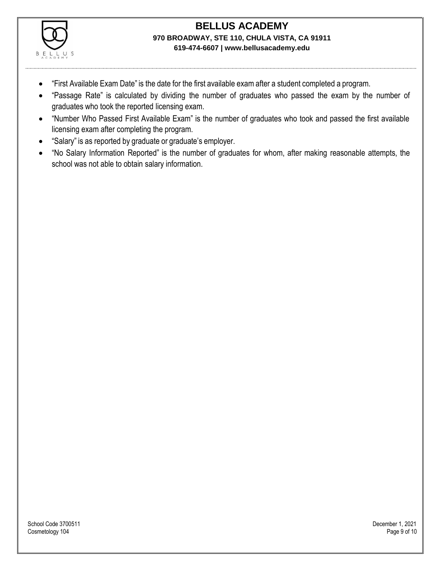

- "First Available Exam Date" is the date for the first available exam after a student completed a program.
- "Passage Rate" is calculated by dividing the number of graduates who passed the exam by the number of graduates who took the reported licensing exam.
- "Number Who Passed First Available Exam" is the number of graduates who took and passed the first available licensing exam after completing the program.
- "Salary" is as reported by graduate or graduate's employer.
- "No Salary Information Reported" is the number of graduates for whom, after making reasonable attempts, the school was not able to obtain salary information.